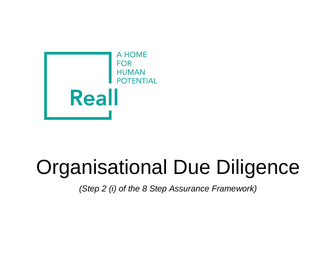

## Organisational Due Diligence

*(Step 2 (i) of the 8 Step Assurance Framework)*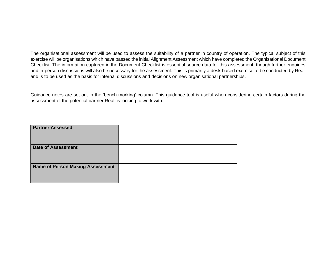The organisational assessment will be used to assess the suitability of a partner in country of operation. The typical subject of this exercise will be organisations which have passed the initial Alignment Assessment which have completed the Organisational Document Checklist. The information captured in the Document Checklist is essential source data for this assessment, though further enquiries and in-person discussions will also be necessary for the assessment. This is primarily a desk-based exercise to be conducted by Reall and is to be used as the basis for internal discussions and decisions on new organisational partnerships.

Guidance notes are set out in the 'bench marking' column. This guidance tool is useful when considering certain factors during the assessment of the potential partner Reall is looking to work with.

| <b>Partner Assessed</b>                 |  |
|-----------------------------------------|--|
| <b>Date of Assessment</b>               |  |
| <b>Name of Person Making Assessment</b> |  |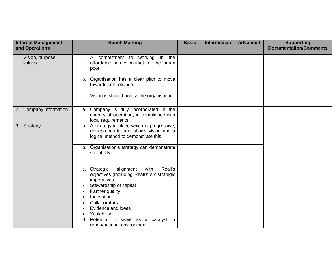| <b>Internal Management</b><br>and Operations | <b>Bench Marking</b>                                                                                                          | <b>Basic</b> | <b>Intermediate</b> | <b>Advanced</b> | <b>Supporting</b><br><b>Documentation/Comments</b> |
|----------------------------------------------|-------------------------------------------------------------------------------------------------------------------------------|--------------|---------------------|-----------------|----------------------------------------------------|
| 1. Vision, purpose,<br>values                | commitment to working in the<br>a. A<br>affordable homes market for the urban<br>poor.                                        |              |                     |                 |                                                    |
|                                              | b. Organisation has a clear plan to move<br>towards self-reliance.                                                            |              |                     |                 |                                                    |
|                                              | Vision is shared across the organisation.<br>c.                                                                               |              |                     |                 |                                                    |
| 2. Company Information                       | a. Company is duly incorporated in the<br>country of operation, in compliance with<br>local requirements                      |              |                     |                 |                                                    |
| 3. Strategy                                  | a. A strategy in place which is progressive,<br>entrepreneurial and shows vision and a<br>logical method to demonstrate this. |              |                     |                 |                                                    |
|                                              | b. Organisation's strategy can demonstrate<br>scalability.                                                                    |              |                     |                 |                                                    |
|                                              | Reall's<br>alignment<br>with<br>c. Strategic<br>objectives (including Reall's six strategic<br>imperatives:                   |              |                     |                 |                                                    |
|                                              | Stewardship of capital                                                                                                        |              |                     |                 |                                                    |
|                                              | Partner quality<br>Innovation                                                                                                 |              |                     |                 |                                                    |
|                                              | Collaborators                                                                                                                 |              |                     |                 |                                                    |
|                                              | Evidence and ideas                                                                                                            |              |                     |                 |                                                    |
|                                              | Scalability<br>$\bullet$                                                                                                      |              |                     |                 |                                                    |
|                                              | Potential to serve as a catalyst in<br>d.                                                                                     |              |                     |                 |                                                    |
|                                              | urban/national environment.                                                                                                   |              |                     |                 |                                                    |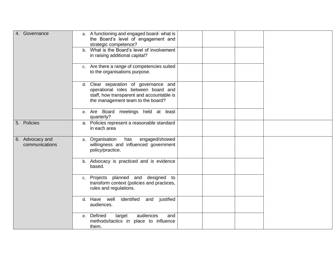| 4. Governance                     | a. A functioning and engaged board- what is<br>the Board's level of engagement and<br>strategic competence?<br>b. What is the Board's level of involvement<br>in raising additional capital? |  |
|-----------------------------------|----------------------------------------------------------------------------------------------------------------------------------------------------------------------------------------------|--|
|                                   | c. Are there a range of competencies suited<br>to the organisations purpose.                                                                                                                 |  |
|                                   | d. Clear separation of governance and<br>operational roles between board and<br>staff, how transparent and accountable is<br>the management team to the board?                               |  |
|                                   | e. Are Board meetings held at least<br>quarterly?                                                                                                                                            |  |
| 5. Policies                       | a. Policies represent a reasonable standard<br>in each area                                                                                                                                  |  |
| 6. Advocacy and<br>communications | engaged/showed<br>a. Organisation<br>has<br>willingness and influenced government<br>policy/practice.                                                                                        |  |
|                                   | b. Advocacy is practiced and is evidence<br>based.                                                                                                                                           |  |
|                                   | Projects planned and designed to<br>c.<br>transform context (policies and practices,<br>rules and regulations.                                                                               |  |
|                                   | identified<br>justified<br>d. Have well<br>and<br>audiences.                                                                                                                                 |  |
|                                   | e. Defined<br>audiences<br>target<br>and<br>methods/tactics in place to influence<br>them.                                                                                                   |  |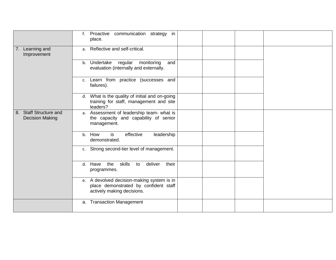|                                                  | Proactive communication strategy in<br>f.<br>place.                                                               |  |
|--------------------------------------------------|-------------------------------------------------------------------------------------------------------------------|--|
| 7. Learning and<br>Improvement                   | a. Reflective and self-critical.                                                                                  |  |
|                                                  | regular monitoring<br>b. Undertake<br>and<br>evaluation (internally and externally.                               |  |
|                                                  | Learn from practice (successes and<br>c.<br>failures).                                                            |  |
|                                                  | d. What is the quality of initial and on-going<br>training for staff, management and site<br>leaders?             |  |
| 8. Staff Structure and<br><b>Decision Making</b> | a. Assessment of leadership team- what is<br>the capacity and capability of senior<br>management.                 |  |
|                                                  | is<br>How<br>effective<br>leadership<br>b.<br>demonstrated.                                                       |  |
|                                                  | c. Strong second-tier level of management.                                                                        |  |
|                                                  | d. Have the skills<br>deliver<br>their<br>to<br>programmes.                                                       |  |
|                                                  | e. A devolved decision-making system is in<br>place demonstrated by confident staff<br>actively making decisions. |  |
|                                                  | a. Transaction Management                                                                                         |  |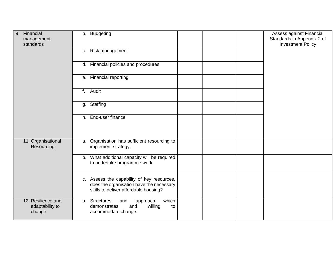| Financial<br>9.<br>management<br>standards      | b. Budgeting                                                                                                                    | Assess against Financial<br>Standards in Appendix 2 of<br><b>Investment Policy</b> |
|-------------------------------------------------|---------------------------------------------------------------------------------------------------------------------------------|------------------------------------------------------------------------------------|
|                                                 | c. Risk management                                                                                                              |                                                                                    |
|                                                 | d. Financial policies and procedures                                                                                            |                                                                                    |
|                                                 | e. Financial reporting                                                                                                          |                                                                                    |
|                                                 | Audit<br>f.                                                                                                                     |                                                                                    |
|                                                 | g. Staffing                                                                                                                     |                                                                                    |
|                                                 | h. End-user finance                                                                                                             |                                                                                    |
| 11. Organisational<br>Resourcing                | a. Organisation has sufficient resourcing to<br>implement strategy.                                                             |                                                                                    |
|                                                 | b. What additional capacity will be required<br>to undertake programme work.                                                    |                                                                                    |
|                                                 | c. Assess the capability of key resources,<br>does the organisation have the necessary<br>skills to deliver affordable housing? |                                                                                    |
| 12. Resilience and<br>adaptability to<br>change | a. Structures<br>which<br>and<br>approach<br>demonstrates<br>willing<br>and<br>to<br>accommodate change.                        |                                                                                    |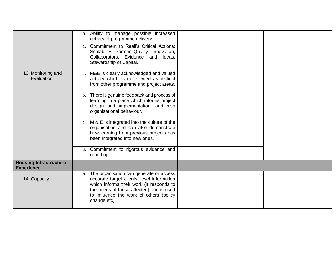|                                                    | b. Ability to manage possible increased<br>activity of programme delivery.                                                                                                                                                                  |  |
|----------------------------------------------------|---------------------------------------------------------------------------------------------------------------------------------------------------------------------------------------------------------------------------------------------|--|
|                                                    | c. Commitment to Reall's Critical Actions:<br>Scalability, Partner Quality, Innovation,<br>Collaborators, Evidence and Ideas,<br>Stewardship of Capital.                                                                                    |  |
| 13. Monitoring and<br>Evaluation                   | a. M&E is clearly acknowledged and valued<br>activity which is not viewed as distinct<br>from other programme and project areas.                                                                                                            |  |
|                                                    | b. There is genuine feedback and process of<br>learning in a place which informs project<br>design and implementation, and also<br>organisational behaviour.                                                                                |  |
|                                                    | c. M & E is integrated into the culture of the<br>organisation and can also demonstrate<br>how learning from previous projects has<br>been integrated into new ones.                                                                        |  |
|                                                    | d. Commitment to rigorous evidence and<br>reporting.                                                                                                                                                                                        |  |
| <b>Housing Infrastructure</b><br><b>Experience</b> |                                                                                                                                                                                                                                             |  |
| 14. Capacity                                       | a. The organisation can generate or access<br>accurate target clients' level information<br>which informs their work (it responds to<br>the needs of those affected) and is used<br>to influence the work of others (policy<br>change etc). |  |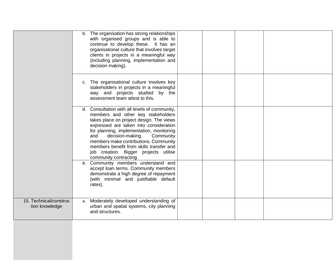|                                          | b. The organisation has strong relationships<br>with organised groups and is able to<br>continue to develop these. It has an<br>organisational culture that involves target<br>clients in projects in a meaningful way<br>(including planning, implementation and<br>decision making).                                                                                                                                |
|------------------------------------------|-----------------------------------------------------------------------------------------------------------------------------------------------------------------------------------------------------------------------------------------------------------------------------------------------------------------------------------------------------------------------------------------------------------------------|
|                                          | c. The organisational culture involves key<br>stakeholders in projects in a meaningful<br>way and projects studied by the<br>assessment team attest to this.                                                                                                                                                                                                                                                          |
|                                          | d. Consultation with all levels of community,<br>members and other key stakeholders<br>takes place on project design. The views<br>expressed are taken into consideration<br>for planning, implementation, monitoring<br>Community<br>decision-making.<br>and<br>members make contributions. Community<br>members benefit from skills transfer and<br>job creation. Bigger projects utilise<br>community contracting. |
|                                          | e. Community members understand and<br>accept loan terms. Community members<br>demonstrate a high degree of repayment<br>(with minimal and justifiable default<br>rates).                                                                                                                                                                                                                                             |
| 15. Technical/construc<br>tion knowledge | a. Moderately developed understanding of<br>urban and spatial systems, city planning<br>and structures.                                                                                                                                                                                                                                                                                                               |
|                                          |                                                                                                                                                                                                                                                                                                                                                                                                                       |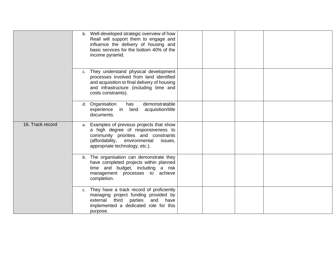|                  | b. Well-developed strategic overview of how<br>Reall will support them to engage and<br>influence the delivery of housing and<br>basic services for the bottom 40% of the<br>income pyramid.           |
|------------------|--------------------------------------------------------------------------------------------------------------------------------------------------------------------------------------------------------|
|                  | c. They understand physical development<br>processes involved from land identified<br>and acquisition to final delivery of housing<br>and infrastructure (including time and<br>costs constraints).    |
|                  | d. Organisation<br>demonstratable<br>has<br>land<br>acquisition/title<br>experience<br>in<br>documents.                                                                                                |
| 16. Track record | a. Examples of previous projects that show<br>a high degree of responsiveness to<br>community priorities and constraints<br>(affordability, environmental<br>issues,<br>appropriate technology, etc.). |
|                  | b. The organisation can demonstrate they<br>have completed projects within planned<br>time and budget, including a risk<br>management processes to achieve<br>completion.                              |
|                  | c. They have a track record of proficiently<br>managing project funding provided by<br>external third parties<br>and have<br>implemented a dedicated role for this<br>purpose.                         |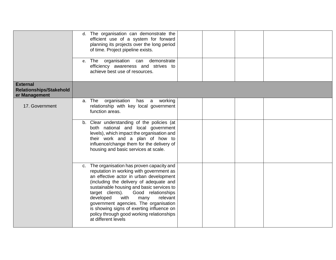|                                                                    | d. The organisation can demonstrate the<br>efficient use of a system for forward<br>planning its projects over the long period<br>of time. Project pipeline exists.<br>e. The organisation can demonstrate                                                                                                                                                                                                                                                              |
|--------------------------------------------------------------------|-------------------------------------------------------------------------------------------------------------------------------------------------------------------------------------------------------------------------------------------------------------------------------------------------------------------------------------------------------------------------------------------------------------------------------------------------------------------------|
|                                                                    | efficiency awareness and strives to<br>achieve best use of resources.                                                                                                                                                                                                                                                                                                                                                                                                   |
| <b>External</b><br><b>Relationships/Stakehold</b><br>er Management |                                                                                                                                                                                                                                                                                                                                                                                                                                                                         |
| 17. Government                                                     | organisation has a working<br>a. The<br>relationship with key local government<br>function areas.                                                                                                                                                                                                                                                                                                                                                                       |
|                                                                    | b. Clear understanding of the policies (at<br>both national and local government<br>levels), which impact the organisation and<br>their work and a plan of how to<br>influence/change them for the delivery of<br>housing and basic services at scale.                                                                                                                                                                                                                  |
|                                                                    | c. The organisation has proven capacity and<br>reputation in working with government as<br>an effective actor in urban development<br>(including the delivery of adequate and<br>sustainable housing and basic services to<br>target clients).<br>Good relationships<br>developed<br>with<br>relevant<br>many<br>government agencies. The organisation<br>is showing signs of exerting influence on<br>policy through good working relationships<br>at different levels |